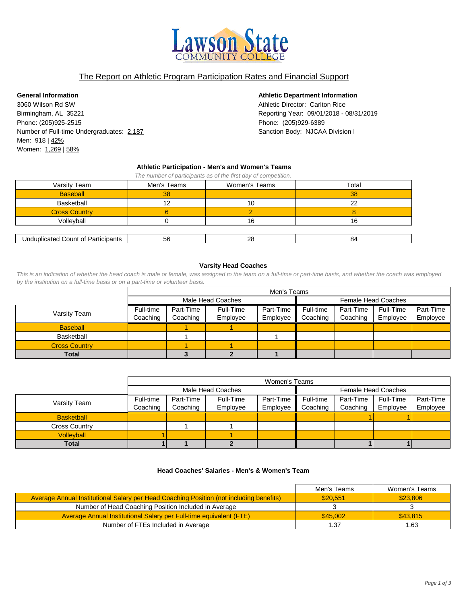

# The Report on Athletic Program Participation Rates and Financial Support

3060 Wilson Rd SW **Athletic Director: Carlton Rice Athletic Director: Carlton Rice** Birmingham, AL 35221 **Reporting Year:** 09/01/2018 - 08/31/2019 Phone: (205)925-2515 Phone: (205)929-6389 Number of Full-time Undergraduates: 2,187 Sanction School Sanction Body: NJCAA Division I Men: 918 | 42% Women: 1,269 | 58%

### **General Information Athletic Department Information**

#### **Athletic Participation - Men's and Women's Teams**

| The number of participants as of the first day of competition. |             |               |       |  |  |  |  |  |
|----------------------------------------------------------------|-------------|---------------|-------|--|--|--|--|--|
| Varsity Team                                                   | Men's Teams | Women's Teams | Total |  |  |  |  |  |
| <b>Baseball</b>                                                | 38          |               | 38    |  |  |  |  |  |
| Basketball                                                     |             | 10            | つつ    |  |  |  |  |  |
| <b>Cross Country</b>                                           |             |               |       |  |  |  |  |  |
| Volleyball                                                     |             | 16            |       |  |  |  |  |  |

| . .<br>…nduplicate —<br><b>CID</b><br>้วนทt<br>-<br>Ωt<br>$\overline{ }$<br>. | - 1<br>ັບ | nn<br>∠∪ | v |
|-------------------------------------------------------------------------------|-----------|----------|---|

#### **Varsity Head Coaches**

*This is an indication of whether the head coach is male or female, was assigned to the team on a full-time or part-time basis, and whether the coach was employed by the institution on a full-time basis or on a part-time or volunteer basis.*

|                      |           | Men's Teams |                   |           |           |           |                            |           |
|----------------------|-----------|-------------|-------------------|-----------|-----------|-----------|----------------------------|-----------|
|                      |           |             | Male Head Coaches |           |           |           | <b>Female Head Coaches</b> |           |
| Varsity Team         | Full-time | Part-Time   | Full-Time         | Part-Time | Full-time | Part-Time | Full-Time                  | Part-Time |
|                      | Coaching  | Coaching    | Employee          | Employee  | Coaching  | Coaching  | Employee                   | Employee  |
| <b>Baseball</b>      |           |             |                   |           |           |           |                            |           |
| Basketball           |           |             |                   |           |           |           |                            |           |
| <b>Cross Country</b> |           |             |                   |           |           |           |                            |           |
| Total                |           |             |                   |           |           |           |                            |           |

|                      |           | Women's Teams |                   |           |                     |           |           |           |
|----------------------|-----------|---------------|-------------------|-----------|---------------------|-----------|-----------|-----------|
|                      |           |               | Male Head Coaches |           | Female Head Coaches |           |           |           |
| Varsity Team         | Full-time | Part-Time     | Full-Time         | Part-Time | Full-time           | Part-Time | Full-Time | Part-Time |
|                      | Coaching  | Coaching      | Employee          | Employee  | Coaching            | Coaching  | Employee  | Employee  |
| <b>Basketball</b>    |           |               |                   |           |                     |           |           |           |
| <b>Cross Country</b> |           |               |                   |           |                     |           |           |           |
| <b>Vollevball</b>    |           |               |                   |           |                     |           |           |           |
| Total                |           |               |                   |           |                     |           |           |           |

### **Head Coaches' Salaries - Men's & Women's Team**

|                                                                                         | Men's Teams | Women's Teams |
|-----------------------------------------------------------------------------------------|-------------|---------------|
| Average Annual Institutional Salary per Head Coaching Position (not including benefits) | \$20,551    | \$23,806      |
| Number of Head Coaching Position Included in Average                                    |             |               |
| Average Annual Institutional Salary per Full-time equivalent (FTE)                      | \$45,002    | \$43,815      |
| Number of FTEs Included in Average                                                      | 1.37        | 1.63          |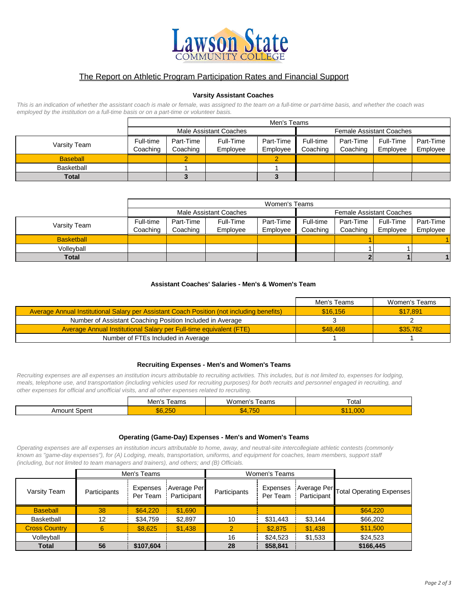

# The Report on Athletic Program Participation Rates and Financial Support

#### **Varsity Assistant Coaches**

*This is an indication of whether the assistant coach is male or female, was assigned to the team on a full-time or part-time basis, and whether the coach was employed by the institution on a full-time basis or on a part-time or volunteer basis.*

|                 | Men's Teams |           |                        |           |                                 |           |           |           |
|-----------------|-------------|-----------|------------------------|-----------|---------------------------------|-----------|-----------|-----------|
|                 |             |           | Male Assistant Coaches |           | <b>Female Assistant Coaches</b> |           |           |           |
| Varsity Team    | Full-time   | Part-Time | Full-Time              | Part-Time | Full-time                       | Part-Time | Full-Time | Part-Time |
|                 | Coaching    | Coaching  | Employee               | Employee  | Coaching                        | Coaching  | Employee  | Employee  |
| <b>Baseball</b> |             |           |                        |           |                                 |           |           |           |
| Basketball      |             |           |                        |           |                                 |           |           |           |
| <b>Total</b>    |             |           |                        |           |                                 |           |           |           |

|                   |           | Women's Teams          |           |           |           |                                 |           |           |
|-------------------|-----------|------------------------|-----------|-----------|-----------|---------------------------------|-----------|-----------|
|                   |           | Male Assistant Coaches |           |           |           | <b>Female Assistant Coaches</b> |           |           |
| Varsity Team      | Full-time | Part-Time              | Full-Time | Part-Time | Full-time | Part-Time                       | Full-Time | Part-Time |
|                   | Coaching  | Coaching               | Employee  | Employee  | Coaching  | Coaching                        | Employee  | Employee  |
| <b>Basketball</b> |           |                        |           |           |           |                                 |           |           |
| Vollevball        |           |                        |           |           |           |                                 |           |           |
| <b>Total</b>      |           |                        |           |           |           |                                 |           | 1         |

#### **Assistant Coaches' Salaries - Men's & Women's Team**

|                                                                                           | Men's Teams | Women's Teams |
|-------------------------------------------------------------------------------------------|-------------|---------------|
| Average Annual Institutional Salary per Assistant Coach Position (not including benefits) | \$16,156    | \$17,891      |
| Number of Assistant Coaching Position Included in Average                                 |             |               |
| Average Annual Institutional Salary per Full-time equivalent (FTE)                        | \$48,468    | \$35,782      |
| Number of FTEs Included in Average                                                        |             |               |

#### **Recruiting Expenses - Men's and Women's Teams**

*Recruiting expenses are all expenses an institution incurs attributable to recruiting activities. This includes, but is not limited to, expenses for lodging, meals, telephone use, and transportation (including vehicles used for recruiting purposes) for both recruits and personnel engaged in recruiting, and other expenses for official and unofficial visits, and all other expenses related to recruiting.*

|                   | Men's<br>l eams    | Women'r<br>l eams | Total             |
|-------------------|--------------------|-------------------|-------------------|
| t Spent<br>Amount | .250<br>n.<br>6h v | $-$<br>.750       | .000<br>. .<br>ФF |

#### **Operating (Game-Day) Expenses - Men's and Women's Teams**

*Operating expenses are all expenses an institution incurs attributable to home, away, and neutral-site intercollegiate athletic contests (commonly known as "game-day expenses"), for (A) Lodging, meals, transportation, uniforms, and equipment for coaches, team members, support staff (including, but not limited to team managers and trainers), and others; and (B) Officials.*

|                      |              | Men's Teams                 |                            | Women's Teams |                      |             |                                      |  |  |
|----------------------|--------------|-----------------------------|----------------------------|---------------|----------------------|-------------|--------------------------------------|--|--|
| Varsity Team         | Participants | <b>Expenses</b><br>Per Team | Average Per<br>Participant | Participants  | Expenses<br>Per Team | Participant | Average Per Total Operating Expenses |  |  |
| <b>Baseball</b>      | 38           | \$64,220                    | \$1,690                    |               |                      |             | \$64,220                             |  |  |
| Basketball           | 12           | \$34,759                    | \$2,897                    | 10            | \$31,443             | \$3,144     | \$66,202                             |  |  |
| <b>Cross Country</b> | 6            | \$8.625                     | \$1,438                    |               | \$2,875              | \$1,438     | \$11,500                             |  |  |
| Volleyball           |              |                             |                            | 16            | \$24,523             | \$1,533     | \$24,523                             |  |  |
| <b>Total</b>         | 56           | \$107,604                   |                            | 28            | \$58,841             |             | \$166,445                            |  |  |